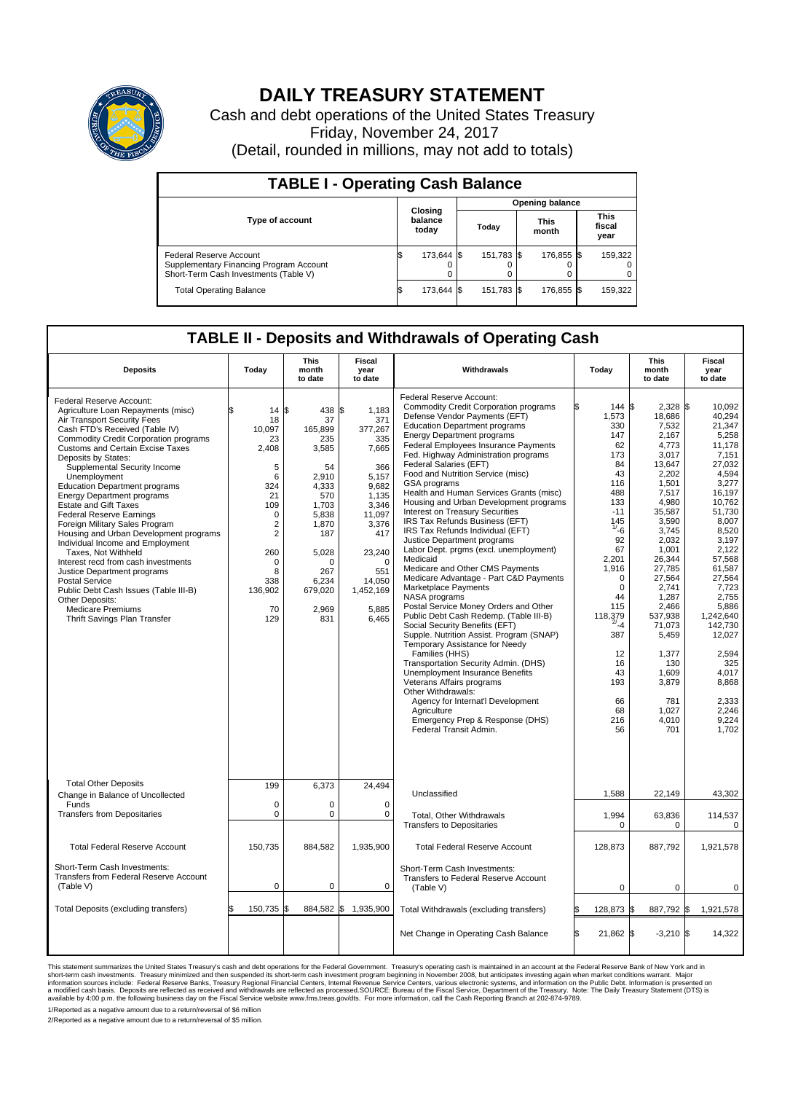

## **DAILY TREASURY STATEMENT**

Cash and debt operations of the United States Treasury Friday, November 24, 2017 (Detail, rounded in millions, may not add to totals)

| <b>TABLE I - Operating Cash Balance</b>                                                                     |                             |            |       |                        |                      |            |                               |         |  |  |  |
|-------------------------------------------------------------------------------------------------------------|-----------------------------|------------|-------|------------------------|----------------------|------------|-------------------------------|---------|--|--|--|
|                                                                                                             |                             |            |       | <b>Opening balance</b> |                      |            |                               |         |  |  |  |
| Type of account                                                                                             | Closing<br>balance<br>today |            | Today |                        | <b>This</b><br>month |            | <b>This</b><br>fiscal<br>year |         |  |  |  |
| Federal Reserve Account<br>Supplementary Financing Program Account<br>Short-Term Cash Investments (Table V) |                             | 173,644 \$ |       | 151,783 \$             |                      | 176,855 \$ |                               | 159,322 |  |  |  |
| <b>Total Operating Balance</b>                                                                              | ß.                          | 173,644 \$ |       | 151,783 \$             |                      | 176,855 \$ |                               | 159,322 |  |  |  |

## **TABLE II - Deposits and Withdrawals of Operating Cash**

| <b>Deposits</b>                                                                                                                                                                                                                                                                                                                                                                                                                                                                                                                                                                                                                                                                                                                                                                                          | Today                                                                                                                                                                   | <b>This</b><br>month<br>to date                                                                                                                                          | Fiscal<br>year<br>to date                                                                                                                                                          | Withdrawals                                                                                                                                                                                                                                                                                                                                                                                                                                                                                                                                                                                                                                                                                                                                                                                                                                                                                                                                                                                                                                                                                                                                                                                                                                             | Today                                                                                                                                                                                                                                                              | <b>This</b><br>month<br>to date                                                                                                                                                                                                                                                                                     | Fiscal<br>year<br>to date                                                                                                                                                                                                                                                                                             |  |
|----------------------------------------------------------------------------------------------------------------------------------------------------------------------------------------------------------------------------------------------------------------------------------------------------------------------------------------------------------------------------------------------------------------------------------------------------------------------------------------------------------------------------------------------------------------------------------------------------------------------------------------------------------------------------------------------------------------------------------------------------------------------------------------------------------|-------------------------------------------------------------------------------------------------------------------------------------------------------------------------|--------------------------------------------------------------------------------------------------------------------------------------------------------------------------|------------------------------------------------------------------------------------------------------------------------------------------------------------------------------------|---------------------------------------------------------------------------------------------------------------------------------------------------------------------------------------------------------------------------------------------------------------------------------------------------------------------------------------------------------------------------------------------------------------------------------------------------------------------------------------------------------------------------------------------------------------------------------------------------------------------------------------------------------------------------------------------------------------------------------------------------------------------------------------------------------------------------------------------------------------------------------------------------------------------------------------------------------------------------------------------------------------------------------------------------------------------------------------------------------------------------------------------------------------------------------------------------------------------------------------------------------|--------------------------------------------------------------------------------------------------------------------------------------------------------------------------------------------------------------------------------------------------------------------|---------------------------------------------------------------------------------------------------------------------------------------------------------------------------------------------------------------------------------------------------------------------------------------------------------------------|-----------------------------------------------------------------------------------------------------------------------------------------------------------------------------------------------------------------------------------------------------------------------------------------------------------------------|--|
| Federal Reserve Account:<br>Agriculture Loan Repayments (misc)<br>Air Transport Security Fees<br>Cash FTD's Received (Table IV)<br>Commodity Credit Corporation programs<br><b>Customs and Certain Excise Taxes</b><br>Deposits by States:<br>Supplemental Security Income<br>Unemployment<br><b>Education Department programs</b><br><b>Energy Department programs</b><br><b>Estate and Gift Taxes</b><br><b>Federal Reserve Earnings</b><br>Foreign Military Sales Program<br>Housing and Urban Development programs<br>Individual Income and Employment<br>Taxes. Not Withheld<br>Interest recd from cash investments<br>Justice Department programs<br><b>Postal Service</b><br>Public Debt Cash Issues (Table III-B)<br>Other Deposits:<br><b>Medicare Premiums</b><br>Thrift Savings Plan Transfer | \$<br>$14 \text{ }s$<br>18<br>10,097<br>23<br>2,408<br>5<br>6<br>324<br>21<br>109<br>$\mathbf 0$<br>2<br>$\overline{2}$<br>260<br>0<br>8<br>338<br>136,902<br>70<br>129 | 438 \$<br>37<br>165,899<br>235<br>3,585<br>54<br>2.910<br>4,333<br>570<br>1,703<br>5,838<br>1,870<br>187<br>5,028<br>$\Omega$<br>267<br>6,234<br>679,020<br>2,969<br>831 | 1,183<br>371<br>377,267<br>335<br>7,665<br>366<br>5,157<br>9,682<br>1,135<br>3,346<br>11,097<br>3,376<br>417<br>23,240<br>$\Omega$<br>551<br>14,050<br>1,452,169<br>5,885<br>6,465 | Federal Reserve Account:<br><b>Commodity Credit Corporation programs</b><br>Defense Vendor Payments (EFT)<br><b>Education Department programs</b><br><b>Energy Department programs</b><br><b>Federal Employees Insurance Payments</b><br>Fed. Highway Administration programs<br><b>Federal Salaries (EFT)</b><br>Food and Nutrition Service (misc)<br><b>GSA</b> programs<br>Health and Human Services Grants (misc)<br>Housing and Urban Development programs<br>Interest on Treasury Securities<br>IRS Tax Refunds Business (EFT)<br>IRS Tax Refunds Individual (EFT)<br>Justice Department programs<br>Labor Dept. prgms (excl. unemployment)<br>Medicaid<br>Medicare and Other CMS Payments<br>Medicare Advantage - Part C&D Payments<br>Marketplace Payments<br>NASA programs<br>Postal Service Money Orders and Other<br>Public Debt Cash Redemp. (Table III-B)<br>Social Security Benefits (EFT)<br>Supple. Nutrition Assist. Program (SNAP)<br>Temporary Assistance for Needy<br>Families (HHS)<br>Transportation Security Admin. (DHS)<br>Unemployment Insurance Benefits<br>Veterans Affairs programs<br>Other Withdrawals:<br>Agency for Internat'l Development<br>Agriculture<br>Emergency Prep & Response (DHS)<br>Federal Transit Admin. | \$<br>144<br>1,573<br>330<br>147<br>62<br>173<br>84<br>43<br>116<br>488<br>133<br>$-11$<br>145<br>$1/ -6$<br>92<br>67<br>2,201<br>1,916<br>$\mathbf 0$<br>$\mathbf 0$<br>44<br>115<br>118,379<br>$2/ - 4$<br>387<br>12<br>16<br>43<br>193<br>66<br>68<br>216<br>56 | $2,328$ \$<br>ß.<br>18,686<br>7,532<br>2,167<br>4,773<br>3,017<br>13,647<br>2,202<br>1,501<br>7,517<br>4.980<br>35,587<br>3,590<br>3,745<br>2.032<br>1,001<br>26,344<br>27,785<br>27,564<br>2,741<br>1,287<br>2,466<br>537,938<br>71,073<br>5,459<br>1,377<br>130<br>1,609<br>3,879<br>781<br>1,027<br>4,010<br>701 | 10,092<br>40,294<br>21,347<br>5,258<br>11,178<br>7,151<br>27.032<br>4,594<br>3,277<br>16,197<br>10.762<br>51.730<br>8,007<br>8,520<br>3.197<br>2,122<br>57,568<br>61,587<br>27,564<br>7,723<br>2.755<br>5,886<br>1,242,640<br>142,730<br>12,027<br>2,594<br>325<br>4.017<br>8,868<br>2.333<br>2,246<br>9.224<br>1,702 |  |
| <b>Total Other Deposits</b><br>Change in Balance of Uncollected<br>Funds                                                                                                                                                                                                                                                                                                                                                                                                                                                                                                                                                                                                                                                                                                                                 | 199<br>$\mathbf 0$                                                                                                                                                      | 6,373<br>$\mathbf 0$                                                                                                                                                     | 24,494<br>$\mathbf 0$                                                                                                                                                              | Unclassified                                                                                                                                                                                                                                                                                                                                                                                                                                                                                                                                                                                                                                                                                                                                                                                                                                                                                                                                                                                                                                                                                                                                                                                                                                            | 1,588                                                                                                                                                                                                                                                              | 22,149                                                                                                                                                                                                                                                                                                              | 43,302                                                                                                                                                                                                                                                                                                                |  |
| <b>Transfers from Depositaries</b>                                                                                                                                                                                                                                                                                                                                                                                                                                                                                                                                                                                                                                                                                                                                                                       | 0                                                                                                                                                                       | 0                                                                                                                                                                        | $\mathbf 0$                                                                                                                                                                        | Total, Other Withdrawals<br><b>Transfers to Depositaries</b>                                                                                                                                                                                                                                                                                                                                                                                                                                                                                                                                                                                                                                                                                                                                                                                                                                                                                                                                                                                                                                                                                                                                                                                            | 1,994<br>$\Omega$                                                                                                                                                                                                                                                  | 63,836<br>$\Omega$                                                                                                                                                                                                                                                                                                  | 114,537<br>$\Omega$                                                                                                                                                                                                                                                                                                   |  |
| <b>Total Federal Reserve Account</b>                                                                                                                                                                                                                                                                                                                                                                                                                                                                                                                                                                                                                                                                                                                                                                     | 150,735                                                                                                                                                                 | 884,582                                                                                                                                                                  | 1,935,900                                                                                                                                                                          | <b>Total Federal Reserve Account</b>                                                                                                                                                                                                                                                                                                                                                                                                                                                                                                                                                                                                                                                                                                                                                                                                                                                                                                                                                                                                                                                                                                                                                                                                                    | 128,873                                                                                                                                                                                                                                                            | 887,792                                                                                                                                                                                                                                                                                                             | 1,921,578                                                                                                                                                                                                                                                                                                             |  |
| Short-Term Cash Investments:<br>Transfers from Federal Reserve Account<br>(Table V)                                                                                                                                                                                                                                                                                                                                                                                                                                                                                                                                                                                                                                                                                                                      | $\mathbf 0$                                                                                                                                                             | 0                                                                                                                                                                        | 0                                                                                                                                                                                  | Short-Term Cash Investments:<br>Transfers to Federal Reserve Account<br>(Table V)                                                                                                                                                                                                                                                                                                                                                                                                                                                                                                                                                                                                                                                                                                                                                                                                                                                                                                                                                                                                                                                                                                                                                                       | 0                                                                                                                                                                                                                                                                  | $\mathbf 0$                                                                                                                                                                                                                                                                                                         | $\Omega$                                                                                                                                                                                                                                                                                                              |  |
| Total Deposits (excluding transfers)                                                                                                                                                                                                                                                                                                                                                                                                                                                                                                                                                                                                                                                                                                                                                                     | \$<br>150,735 \$                                                                                                                                                        | 884,582 \$                                                                                                                                                               | 1,935,900                                                                                                                                                                          | Total Withdrawals (excluding transfers)                                                                                                                                                                                                                                                                                                                                                                                                                                                                                                                                                                                                                                                                                                                                                                                                                                                                                                                                                                                                                                                                                                                                                                                                                 | 128,873 \$<br>l\$                                                                                                                                                                                                                                                  | 887,792 \$                                                                                                                                                                                                                                                                                                          | 1,921,578                                                                                                                                                                                                                                                                                                             |  |
|                                                                                                                                                                                                                                                                                                                                                                                                                                                                                                                                                                                                                                                                                                                                                                                                          |                                                                                                                                                                         |                                                                                                                                                                          |                                                                                                                                                                                    | Net Change in Operating Cash Balance                                                                                                                                                                                                                                                                                                                                                                                                                                                                                                                                                                                                                                                                                                                                                                                                                                                                                                                                                                                                                                                                                                                                                                                                                    | Ŝ.<br>21,862 \$                                                                                                                                                                                                                                                    | $-3,210$ \\$                                                                                                                                                                                                                                                                                                        | 14,322                                                                                                                                                                                                                                                                                                                |  |

This statement summarizes the United States Treasury's cash and debt operations for the Federal Government. Treasury operating in November 2008, but anticinates investing again when market conditions warrant. Major York an

1/Reported as a negative amount due to a return/reversal of \$6 million 2/Reported as a negative amount due to a return/reversal of \$5 million.